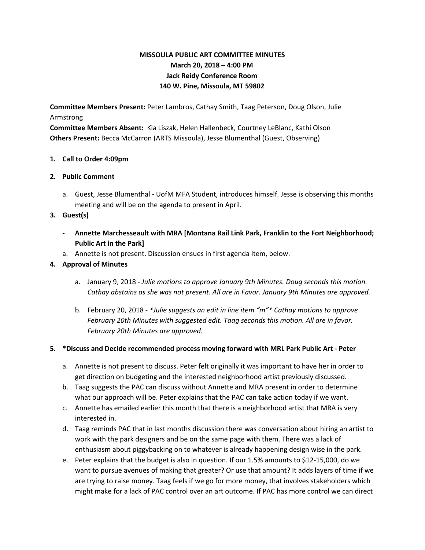# **MISSOULA PUBLIC ART COMMITTEE MINUTES March 20, 2018 – 4:00 PM Jack Reidy Conference Room 140 W. Pine, Missoula, MT 59802**

**Committee Members Present:** Peter Lambros, Cathay Smith, Taag Peterson, Doug Olson, Julie Armstrong

**Committee Members Absent:** Kia Liszak, Helen Hallenbeck, Courtney LeBlanc, Kathi Olson **Others Present:** Becca McCarron (ARTS Missoula), Jesse Blumenthal (Guest, Observing)

#### **1. Call to Order 4:09pm**

## **2. Public Comment**

a. Guest, Jesse Blumenthal - UofM MFA Student, introduces himself. Jesse is observing this months meeting and will be on the agenda to present in April.

## **3. Guest(s)**

- **- Annette Marchesseault with MRA [Montana Rail Link Park, Franklin to the Fort Neighborhood; Public Art in the Park]**
- a. Annette is not present. Discussion ensues in first agenda item, below.

## **4. Approval of Minutes**

- a. January 9, 2018 *Julie motions to approve January 9th Minutes. Doug seconds this motion. Cathay abstains as she was not present. All are in Favor. January 9th Minutes are approved.*
- b. February 20, 2018 *\*Julie suggests an edit in line item "m"\* Cathay motions to approve February 20th Minutes with suggested edit. Taag seconds this motion. All are in favor. February 20th Minutes are approved.*

#### **5. \*Discuss and Decide recommended process moving forward with MRL Park Public Art - Peter**

- a. Annette is not present to discuss. Peter felt originally it was important to have her in order to get direction on budgeting and the interested neighborhood artist previously discussed.
- b. Taag suggests the PAC can discuss without Annette and MRA present in order to determine what our approach will be. Peter explains that the PAC can take action today if we want.
- c. Annette has emailed earlier this month that there is a neighborhood artist that MRA is very interested in.
- d. Taag reminds PAC that in last months discussion there was conversation about hiring an artist to work with the park designers and be on the same page with them. There was a lack of enthusiasm about piggybacking on to whatever is already happening design wise in the park.
- e. Peter explains that the budget is also in question. If our 1.5% amounts to \$12-15,000, do we want to pursue avenues of making that greater? Or use that amount? It adds layers of time if we are trying to raise money. Taag feels if we go for more money, that involves stakeholders which might make for a lack of PAC control over an art outcome. If PAC has more control we can direct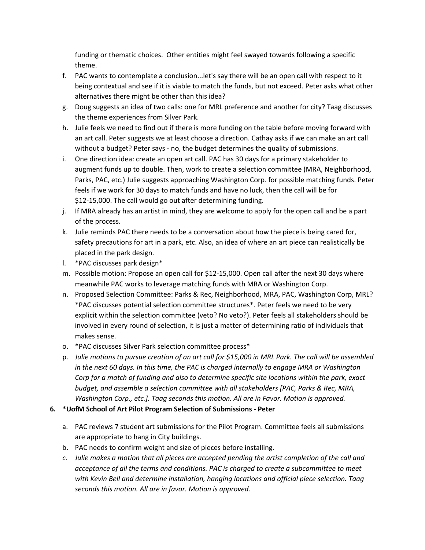funding or thematic choices. Other entities might feel swayed towards following a specific theme.

- f. PAC wants to contemplate a conclusion...let's say there will be an open call with respect to it being contextual and see if it is viable to match the funds, but not exceed. Peter asks what other alternatives there might be other than this idea?
- g. Doug suggests an idea of two calls: one for MRL preference and another for city? Taag discusses the theme experiences from Silver Park.
- h. Julie feels we need to find out if there is more funding on the table before moving forward with an art call. Peter suggests we at least choose a direction. Cathay asks if we can make an art call without a budget? Peter says - no, the budget determines the quality of submissions.
- i. One direction idea: create an open art call. PAC has 30 days for a primary stakeholder to augment funds up to double. Then, work to create a selection committee (MRA, Neighborhood, Parks, PAC, etc.) Julie suggests approaching Washington Corp. for possible matching funds. Peter feels if we work for 30 days to match funds and have no luck, then the call will be for \$12-15,000. The call would go out after determining funding.
- j. If MRA already has an artist in mind, they are welcome to apply for the open call and be a part of the process.
- k. Julie reminds PAC there needs to be a conversation about how the piece is being cared for, safety precautions for art in a park, etc. Also, an idea of where an art piece can realistically be placed in the park design.
- l. \*PAC discusses park design\*
- m. Possible motion: Propose an open call for \$12-15,000. Open call after the next 30 days where meanwhile PAC works to leverage matching funds with MRA or Washington Corp.
- n. Proposed Selection Committee: Parks & Rec, Neighborhood, MRA, PAC, Washington Corp, MRL? \*PAC discusses potential selection committee structures\*. Peter feels we need to be very explicit within the selection committee (veto? No veto?). Peter feels all stakeholders should be involved in every round of selection, it is just a matter of determining ratio of individuals that makes sense.
- o. \*PAC discusses Silver Park selection committee process\*
- p. Julie motions to pursue creation of an art call for \$15,000 in MRL Park. The call will be assembled *in the next 60 days. In this time, the PAC is charged internally to engage MRA or Washington Corp for a match of funding and also to determine specific site locations within the park, exact budget, and assemble a selection committee with all stakeholders [PAC, Parks & Rec, MRA, Washington Corp., etc.]. Taag seconds this motion. All are in Favor. Motion is approved.*
- **6. \*UofM School of Art Pilot Program Selection of Submissions - Peter**
	- a. PAC reviews 7 student art submissions for the Pilot Program. Committee feels all submissions are appropriate to hang in City buildings.
	- b. PAC needs to confirm weight and size of pieces before installing.
	- *c. Julie makes a motion that all pieces are accepted pending the artist completion of the call and acceptance of all the terms and conditions. PAC is charged to create a subcommittee to meet with Kevin Bell and determine installation, hanging locations and official piece selection. Taag seconds this motion. All are in favor. Motion is approved.*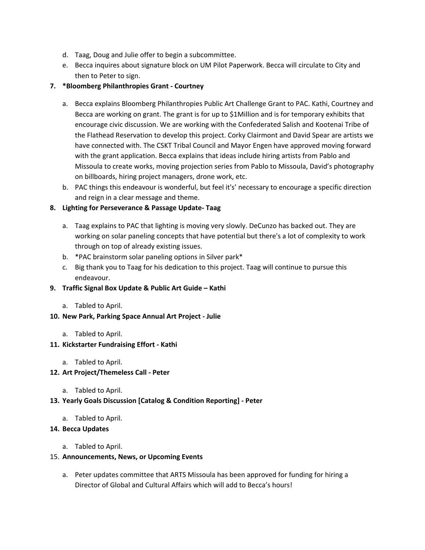- d. Taag, Doug and Julie offer to begin a subcommittee.
- e. Becca inquires about signature block on UM Pilot Paperwork. Becca will circulate to City and then to Peter to sign.

## **7. \*Bloomberg Philanthropies Grant - Courtney**

- a. Becca explains Bloomberg Philanthropies Public Art Challenge Grant to PAC. Kathi, Courtney and Becca are working on grant. The grant is for up to \$1Million and is for temporary exhibits that encourage civic discussion. We are working with the Confederated Salish and Kootenai Tribe of the Flathead Reservation to develop this project. Corky Clairmont and David Spear are artists we have connected with. The CSKT Tribal Council and Mayor Engen have approved moving forward with the grant application. Becca explains that ideas include hiring artists from Pablo and Missoula to create works, moving projection series from Pablo to Missoula, David's photography on billboards, hiring project managers, drone work, etc.
- b. PAC things this endeavour is wonderful, but feel it's' necessary to encourage a specific direction and reign in a clear message and theme.

## **8. Lighting for Perseverance & Passage Update- Taag**

- a. Taag explains to PAC that lighting is moving very slowly. DeCunzo has backed out. They are working on solar paneling concepts that have potential but there's a lot of complexity to work through on top of already existing issues.
- b. \*PAC brainstorm solar paneling options in Silver park\*
- c. Big thank you to Taag for his dedication to this project. Taag will continue to pursue this endeavour.

#### **9. Traffic Signal Box Update & Public Art Guide – Kathi**

a. Tabled to April.

#### **10. New Park, Parking Space Annual Art Project - Julie**

a. Tabled to April.

#### **11. Kickstarter Fundraising Effort - Kathi**

- a. Tabled to April.
- **12. Art Project/Themeless Call - Peter**
	- a. Tabled to April.
- **13. Yearly Goals Discussion [Catalog & Condition Reporting] - Peter**
	- a. Tabled to April.

#### **14. Becca Updates**

a. Tabled to April.

#### 15. **Announcements, News, or Upcoming Events**

a. Peter updates committee that ARTS Missoula has been approved for funding for hiring a Director of Global and Cultural Affairs which will add to Becca's hours!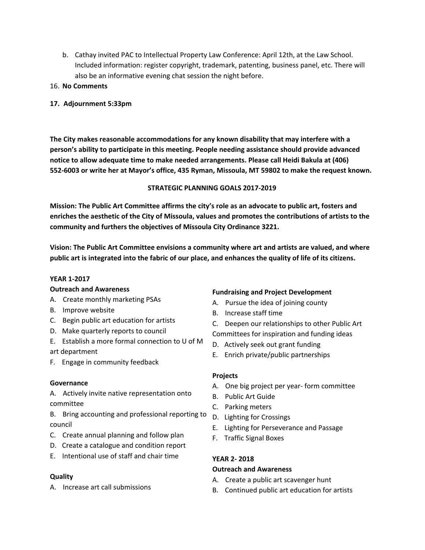- b. Cathay invited PAC to Intellectual Property Law Conference: April 12th, at the Law School. Included information: register copyright, trademark, patenting, business panel, etc. There will also be an informative evening chat session the night before.
- 16. **No Comments**

## **17. Adjournment 5:33pm**

**The City makes reasonable accommodations for any known disability that may interfere with a person's ability to participate in this meeting. People needing assistance should provide advanced notice to allow adequate time to make needed arrangements. Please call Heidi Bakula at (406) 552-6003 or write her at Mayor's office, 435 Ryman, Missoula, MT 59802 to make the request known.**

#### **STRATEGIC PLANNING GOALS 2017-2019**

**Mission: The Public Art Committee affirms the city's role as an advocate to public art, fosters and enriches the aesthetic of the City of Missoula, values and promotes the contributions of artists to the community and furthers the objectives of Missoula City Ordinance 3221.**

**Vision: The Public Art Committee envisions a community where art and artists are valued, and where** public art is integrated into the fabric of our place, and enhances the quality of life of its citizens.

#### **YEAR 1-2017**

#### **Outreach and Awareness**

- A. Create monthly marketing PSAs
- B. Improve website
- C. Begin public art education for artists
- D. Make quarterly reports to council
- E. Establish a more formal connection to U of M art department
- F. Engage in community feedback

#### **Governance**

A. Actively invite native representation onto committee

B. Bring accounting and professional reporting to council

- C. Create annual planning and follow plan
- D. Create a catalogue and condition report
- E. Intentional use of staff and chair time

#### **Quality**

A. Increase art call submissions

#### **Fundraising and Project Development**

- A. Pursue the idea of joining county
- B. Increase staff time
- C. Deepen our relationships to other Public Art Committees for inspiration and funding ideas
- D. Actively seek out grant funding
- E. Enrich private/public partnerships

#### **Projects**

- A. One big project per year- form committee
- B. Public Art Guide
- C. Parking meters
- D. Lighting for Crossings
- E. Lighting for Perseverance and Passage
- F. Traffic Signal Boxes

# **YEAR 2- 2018**

#### **Outreach and Awareness**

- A. Create a public art scavenger hunt
- B. Continued public art education for artists